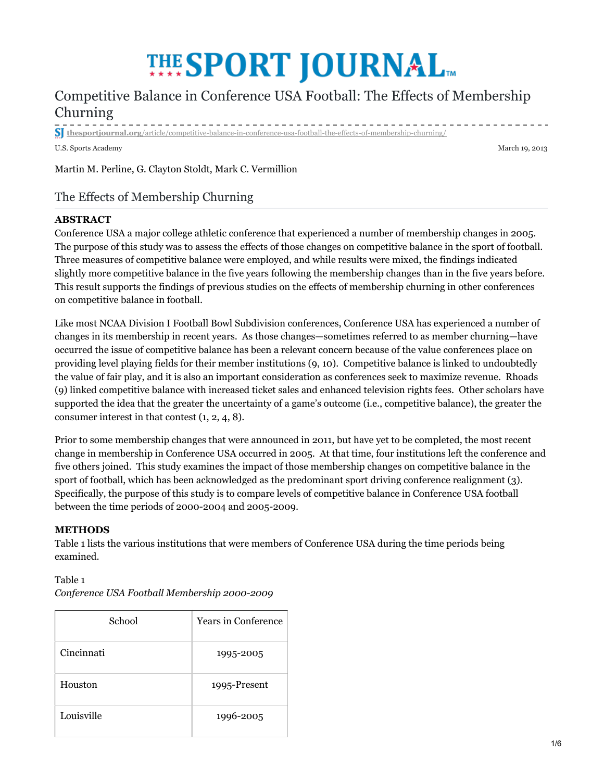# **THE SPORT JOURNAL**

# Competitive Balance in Conference USA Football: The Effects of Membership Churning

**thesportjournal.org**/article/competitive-balance-in-conference-usa-football-the-effects-of-membership-churning/

U.S. Sports Academy March 19, 2013

Martin M. Perline, G. Clayton Stoldt, Mark C. Vermillion

# The Effects of Membership Churning

### **ABSTRACT**

Conference USA a major college athletic conference that experienced a number of membership changes in 2005. The purpose of this study was to assess the effects of those changes on competitive balance in the sport of football. Three measures of competitive balance were employed, and while results were mixed, the findings indicated slightly more competitive balance in the five years following the membership changes than in the five years before. This result supports the findings of previous studies on the effects of membership churning in other conferences on competitive balance in football.

Like most NCAA Division I Football Bowl Subdivision conferences, Conference USA has experienced a number of changes in its membership in recent years. As those changes—sometimes referred to as member churning—have occurred the issue of competitive balance has been a relevant concern because of the value conferences place on providing level playing fields for their member institutions (9, 10). Competitive balance is linked to undoubtedly the value of fair play, and it is also an important consideration as conferences seek to maximize revenue. Rhoads (9) linked competitive balance with increased ticket sales and enhanced television rights fees. Other scholars have supported the idea that the greater the uncertainty of a game's outcome (i.e., competitive balance), the greater the consumer interest in that contest (1, 2, 4, 8).

Prior to some membership changes that were announced in 2011, but have yet to be completed, the most recent change in membership in Conference USA occurred in 2005. At that time, four institutions left the conference and five others joined. This study examines the impact of those membership changes on competitive balance in the sport of football, which has been acknowledged as the predominant sport driving conference realignment (3). Specifically, the purpose of this study is to compare levels of competitive balance in Conference USA football between the time periods of 2000-2004 and 2005-2009.

#### **METHODS**

Table 1 lists the various institutions that were members of Conference USA during the time periods being examined.

# Table 1 *Conference USA Football Membership 2000-2009*

| School     | <b>Years in Conference</b> |
|------------|----------------------------|
| Cincinnati | 1995-2005                  |
| Houston    | 1995-Present               |
| Louisville | 1996-2005                  |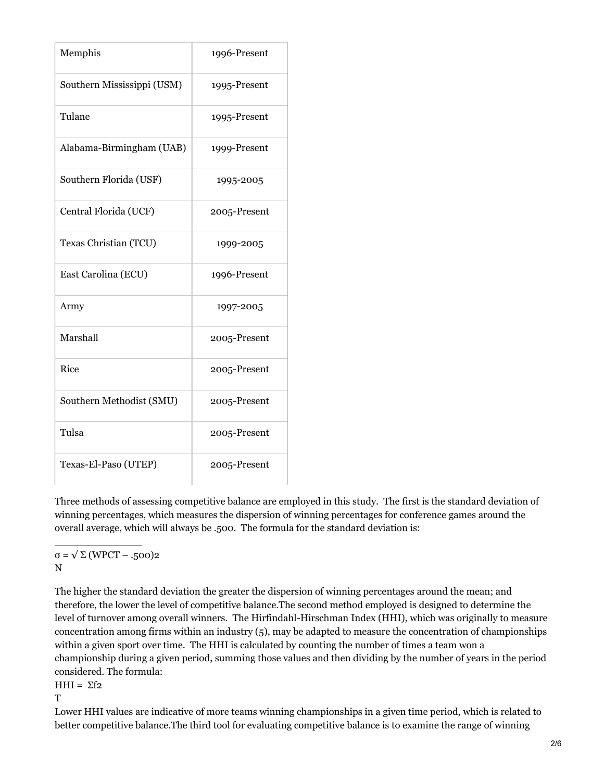| Memphis                    | 1996-Present |
|----------------------------|--------------|
| Southern Mississippi (USM) | 1995-Present |
| Tulane                     | 1995-Present |
| Alabama-Birmingham (UAB)   | 1999-Present |
| Southern Florida (USF)     | 1995-2005    |
| Central Florida (UCF)      | 2005-Present |
| Texas Christian (TCU)      | 1999-2005    |
| East Carolina (ECU)        | 1996-Present |
| Army                       | 1997-2005    |
| Marshall                   | 2005-Present |
| Rice                       | 2005-Present |
| Southern Methodist (SMU)   | 2005-Present |
| Tulsa                      | 2005-Present |
| Texas-El-Paso (UTEP)       | 2005-Present |

Three methods of assessing competitive balance are employed in this study. The first is the standard deviation of winning percentages, which measures the dispersion of winning percentages for conference games around the overall average, which will always be .500. The formula for the standard deviation is:

σ = √ Σ (WPCT – .500)2 N

 $\overline{\phantom{a}}$  , where  $\overline{\phantom{a}}$  , where  $\overline{\phantom{a}}$  ,  $\overline{\phantom{a}}$  ,  $\overline{\phantom{a}}$  ,  $\overline{\phantom{a}}$  ,  $\overline{\phantom{a}}$  ,  $\overline{\phantom{a}}$  ,  $\overline{\phantom{a}}$  ,  $\overline{\phantom{a}}$  ,  $\overline{\phantom{a}}$  ,  $\overline{\phantom{a}}$  ,  $\overline{\phantom{a}}$  ,  $\overline{\phantom{a}}$  ,  $\overline{\phantom{a}}$  ,

The higher the standard deviation the greater the dispersion of winning percentages around the mean; and therefore, the lower the level of competitive balance.The second method employed is designed to determine the level of turnover among overall winners. The Hirfindahl-Hirschman Index (HHI), which was originally to measure concentration among firms within an industry (5), may be adapted to measure the concentration of championships within a given sport over time. The HHI is calculated by counting the number of times a team won a championship during a given period, summing those values and then dividing by the number of years in the period considered. The formula:

HHI =  $\Sigma$ f2

T

Lower HHI values are indicative of more teams winning championships in a given time period, which is related to better competitive balance.The third tool for evaluating competitive balance is to examine the range of winning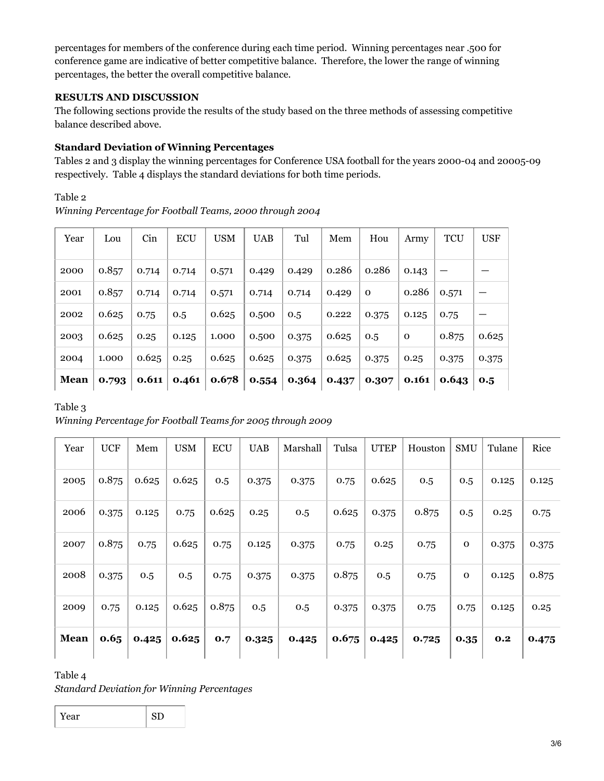percentages for members of the conference during each time period. Winning percentages near .500 for conference game are indicative of better competitive balance. Therefore, the lower the range of winning percentages, the better the overall competitive balance.

# **RESULTS AND DISCUSSION**

The following sections provide the results of the study based on the three methods of assessing competitive balance described above.

# **Standard Deviation of Winning Percentages**

Tables 2 and 3 display the winning percentages for Conference USA football for the years 2000-04 and 20005-09 respectively. Table 4 displays the standard deviations for both time periods.

Table 2

*Winning Percentage for Football Teams, 2000 through 2004*

| Year | Lou   | Cin   | <b>ECU</b> | <b>USM</b> | <b>UAB</b> | Tul   | Mem   | Hou      | Army        | <b>TCU</b> | <b>USF</b> |
|------|-------|-------|------------|------------|------------|-------|-------|----------|-------------|------------|------------|
| 2000 | 0.857 | 0.714 | 0.714      | 0.571      | 0.429      | 0.429 | 0.286 | 0.286    | 0.143       |            |            |
| 2001 | 0.857 | 0.714 | 0.714      | 0.571      | 0.714      | 0.714 | 0.429 | $\Omega$ | 0.286       | 0.571      |            |
| 2002 | 0.625 | 0.75  | 0.5        | 0.625      | 0.500      | 0.5   | 0.222 | 0.375    | 0.125       | 0.75       |            |
| 2003 | 0.625 | 0.25  | 0.125      | 1.000      | 0.500      | 0.375 | 0.625 | 0.5      | $\mathbf 0$ | 0.875      | 0.625      |
| 2004 | 1.000 | 0.625 | 0.25       | 0.625      | 0.625      | 0.375 | 0.625 | 0.375    | 0.25        | 0.375      | 0.375      |
| Mean | 0.793 | 0.611 | 0.461      | 0.678      | 0.554      | 0.364 | 0.437 | 0.307    | 0.161       | 0.643      | 0.5        |

Table 3

*Winning Percentage for Football Teams for 2005 through 2009*

| Year        | <b>UCF</b> | Mem   | <b>USM</b> | <b>ECU</b> | <b>UAB</b> | Marshall | Tulsa | <b>UTEP</b> | Houston | <b>SMU</b>   | Tulane | Rice  |
|-------------|------------|-------|------------|------------|------------|----------|-------|-------------|---------|--------------|--------|-------|
| 2005        | 0.875      | 0.625 | 0.625      | 0.5        | 0.375      | 0.375    | 0.75  | 0.625       | 0.5     | 0.5          | 0.125  | 0.125 |
| 2006        | 0.375      | 0.125 | 0.75       | 0.625      | 0.25       | 0.5      | 0.625 | 0.375       | 0.875   | 0.5          | 0.25   | 0.75  |
| 2007        | 0.875      | 0.75  | 0.625      | 0.75       | 0.125      | 0.375    | 0.75  | 0.25        | 0.75    | $\mathbf{O}$ | 0.375  | 0.375 |
| 2008        | 0.375      | 0.5   | 0.5        | 0.75       | 0.375      | 0.375    | 0.875 | 0.5         | 0.75    | $\mathbf{O}$ | 0.125  | 0.875 |
| 2009        | 0.75       | 0.125 | 0.625      | 0.875      | 0.5        | 0.5      | 0.375 | 0.375       | 0.75    | 0.75         | 0.125  | 0.25  |
| <b>Mean</b> | 0.65       | 0.425 | 0.625      | 0.7        | 0.325      | 0.425    | 0.675 | 0.425       | 0.725   | 0.35         | 0.2    | 0.475 |

Table 4

*Standard Deviation for Winning Percentages*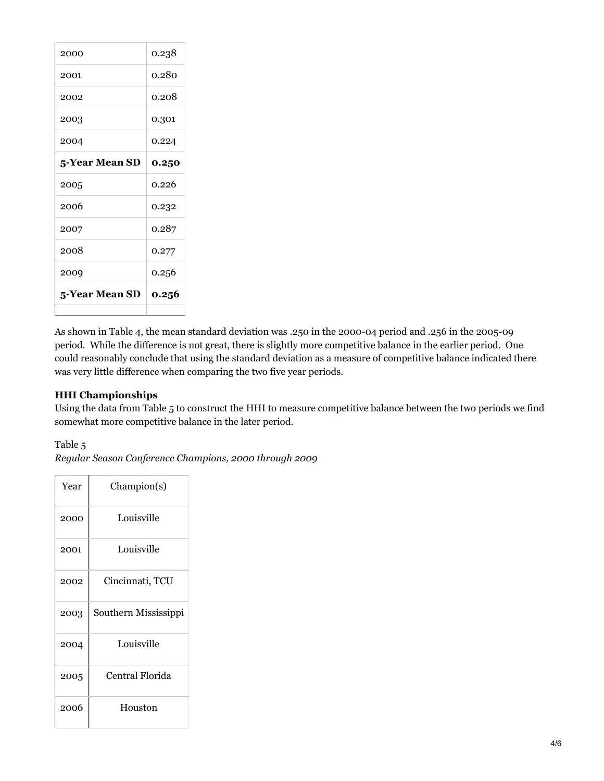| 2000           | 0.238 |
|----------------|-------|
| 2001           | 0.280 |
| 2002           | 0.208 |
| 2003           | 0.301 |
| 2004           | 0.224 |
| 5-Year Mean SD | 0.250 |
|                |       |
| 2005           | 0.226 |
| 2006           | 0.232 |
| 2007           | 0.287 |
| 2008           | 0.277 |
| 2009           | 0.256 |
| 5-Year Mean SD | 0.256 |

As shown in Table 4, the mean standard deviation was .250 in the 2000-04 period and .256 in the 2005-09 period. While the difference is not great, there is slightly more competitive balance in the earlier period. One could reasonably conclude that using the standard deviation as a measure of competitive balance indicated there was very little difference when comparing the two five year periods.

# **HHI Championships**

Using the data from Table 5 to construct the HHI to measure competitive balance between the two periods we find somewhat more competitive balance in the later period.

Table 5

*Regular Season Conference Champions, 2000 through 2009*

| Year | Champion(s)          |
|------|----------------------|
| 2000 | Louisville           |
| 2001 | Louisville           |
| 2002 | Cincinnati, TCU      |
| 2003 | Southern Mississippi |
| 2004 | Louisville           |
| 2005 | Central Florida      |
| 2006 | Houston              |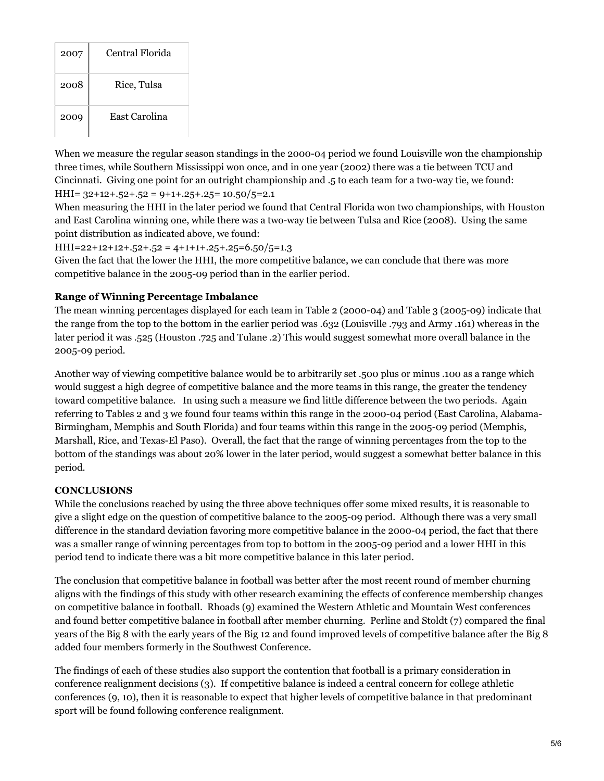| 2007 | Central Florida |
|------|-----------------|
| 2008 | Rice, Tulsa     |
| 2009 | East Carolina   |

When we measure the regular season standings in the 2000-04 period we found Louisville won the championship three times, while Southern Mississippi won once, and in one year (2002) there was a tie between TCU and Cincinnati. Giving one point for an outright championship and .5 to each team for a two-way tie, we found:  $HHI = 32+12+.52+.52 = 9+1+.25+.25 = 10.50/5 = 2.1$ 

When measuring the HHI in the later period we found that Central Florida won two championships, with Houston and East Carolina winning one, while there was a two-way tie between Tulsa and Rice (2008). Using the same point distribution as indicated above, we found:

### $HHI=22+12+12+.52+.52 = 4+1+1+.25+.25=6.50/5=1.3$

Given the fact that the lower the HHI, the more competitive balance, we can conclude that there was more competitive balance in the 2005-09 period than in the earlier period.

### **Range of Winning Percentage Imbalance**

The mean winning percentages displayed for each team in Table 2 (2000-04) and Table 3 (2005-09) indicate that the range from the top to the bottom in the earlier period was .632 (Louisville .793 and Army .161) whereas in the later period it was .525 (Houston .725 and Tulane .2) This would suggest somewhat more overall balance in the 2005-09 period.

Another way of viewing competitive balance would be to arbitrarily set .500 plus or minus .100 as a range which would suggest a high degree of competitive balance and the more teams in this range, the greater the tendency toward competitive balance. In using such a measure we find little difference between the two periods. Again referring to Tables 2 and 3 we found four teams within this range in the 2000-04 period (East Carolina, Alabama-Birmingham, Memphis and South Florida) and four teams within this range in the 2005-09 period (Memphis, Marshall, Rice, and Texas-El Paso). Overall, the fact that the range of winning percentages from the top to the bottom of the standings was about 20% lower in the later period, would suggest a somewhat better balance in this period.

#### **CONCLUSIONS**

While the conclusions reached by using the three above techniques offer some mixed results, it is reasonable to give a slight edge on the question of competitive balance to the 2005-09 period. Although there was a very small difference in the standard deviation favoring more competitive balance in the 2000-04 period, the fact that there was a smaller range of winning percentages from top to bottom in the 2005-09 period and a lower HHI in this period tend to indicate there was a bit more competitive balance in this later period.

The conclusion that competitive balance in football was better after the most recent round of member churning aligns with the findings of this study with other research examining the effects of conference membership changes on competitive balance in football. Rhoads (9) examined the Western Athletic and Mountain West conferences and found better competitive balance in football after member churning. Perline and Stoldt (7) compared the final years of the Big 8 with the early years of the Big 12 and found improved levels of competitive balance after the Big 8 added four members formerly in the Southwest Conference.

The findings of each of these studies also support the contention that football is a primary consideration in conference realignment decisions (3). If competitive balance is indeed a central concern for college athletic conferences (9, 10), then it is reasonable to expect that higher levels of competitive balance in that predominant sport will be found following conference realignment.